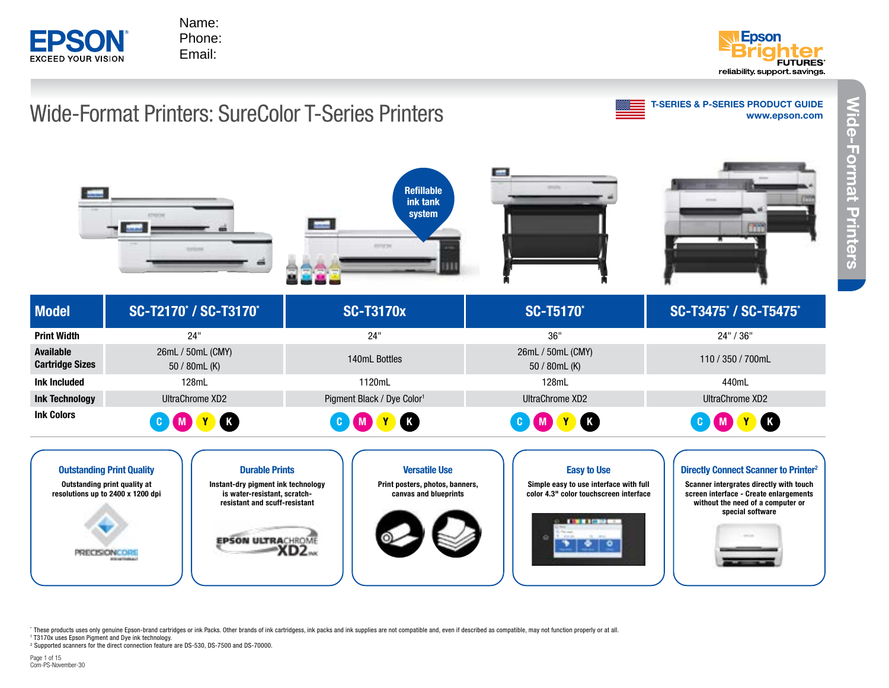





These products uses only genuine Epson-brand cartridges or ink Packs. Other brands of ink cartridgess, ink packs and ink supplies are not compatible and, even if described as compatible, may not function properly or at all

1 T3170x uses Epson Pigment and Dye ink technology.

<sup>2</sup> Supported scanners for the direct connection feature are DS-530, DS-7500 and DS-70000.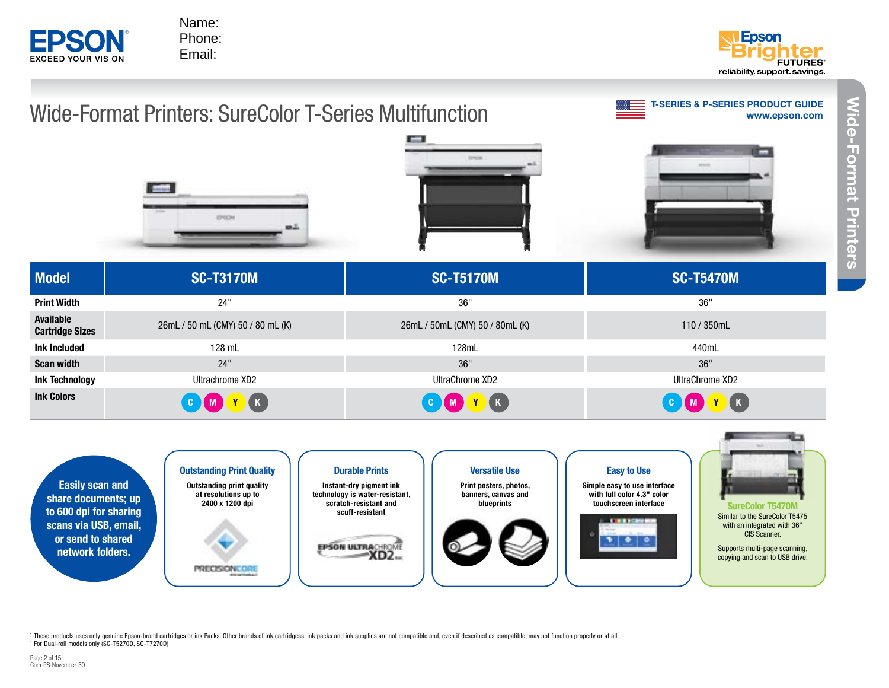

> Outstanding Print Quality Outstanding print quality at resolutions up to 2400 x 1200 dpi

> > **PRECISIONCORS**



**Projectors**

Wide-Format Printers

**Wide-Format Printers** 







Instant-dry pigment ink technology is water-resistant, scratch-resistant and scuff-resistant

> **EPSON ULTRACHROME**  $-XD2$

Versatile Use Print posters, photos, banners, canvas and blueprints



Easy to Use

Simple easy to use interface with full color 4.3" color<br>touchscreen interface





SureColor T5470M Similar to the SureColor T5475 with an integrated with 36" CIS Scanner.

Supports multi-page scanning, copying and scan to USB drive.

These products uses only genuine Epson-brand cartridges or ink Packs. Other brands of ink cartridgess, ink packs and ink supplies are not compatible and, even if described as compatible, may not function properly or at all 1 For Dual-roll models only (SC-T5270D, SC-T7270D)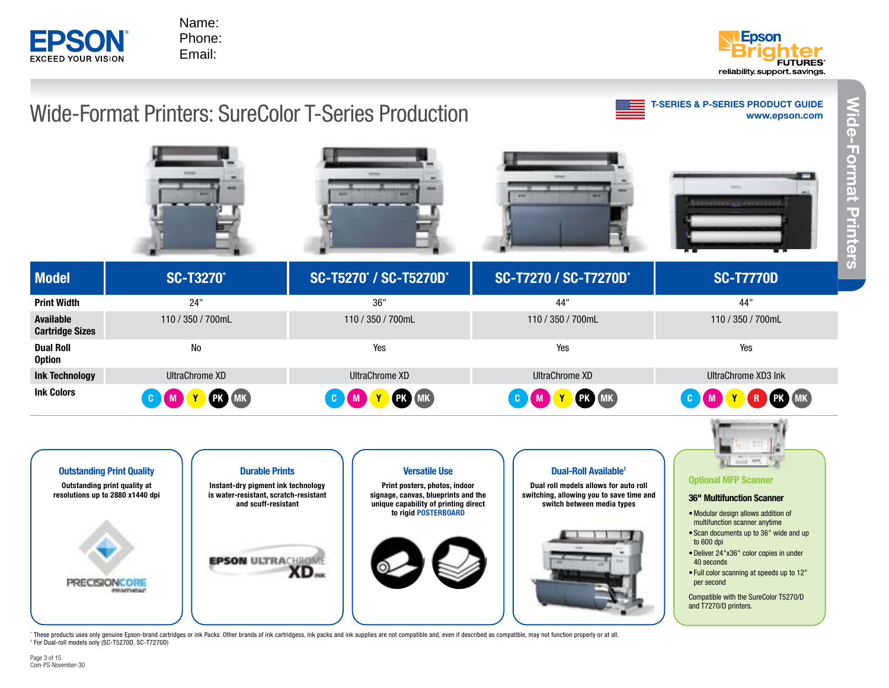



#### [www.epson.com](http://www.epson.com/education) T-SERIES & P-SERIES PRODUCT GUIDE Model **SC-T3270<sup>\*</sup>** SC-T5270<sup>\*</sup> SC-T5270<sup>\*</sup> / SC-T5270D<sup>\*</sup> / SC-T5270D\* SC-T7270 / SC-T7270D\* SC-T7770D Print Width 24" 24" 24" 2007 - 2008 2008 2009 2011 2012 2014 2014 2014 2020 2031 2041 2020 2020 2031 2041 204 Available Cartridge Sizes 110 / 350 / 700mL 110 / 350 / 700mL 110 / 350 / 700mL 110 / 350 / 700mL Dual Roll **Option** No Yes Yes Yes Ink Technology UltraChrome XD UltraChrome XD UltraChrome XD UltraChrome XD3 Ink Ink Colors **C M Y PK MK C M Y PK MK** C M Y PK MK C M Y PK MK C MK C MK C MK C M Y R PK MK Wide-Format Printers: SureColor T-Series Production



\* These products uses only genuine Epson-brand cartridges or ink Packs. Other brands of ink cartridgess, ink packs and ink supplies are not compatible and, even if described as compatible, may not function properly or at a 1 For Dual-roll models only (SC-T5270D, SC-T7270D)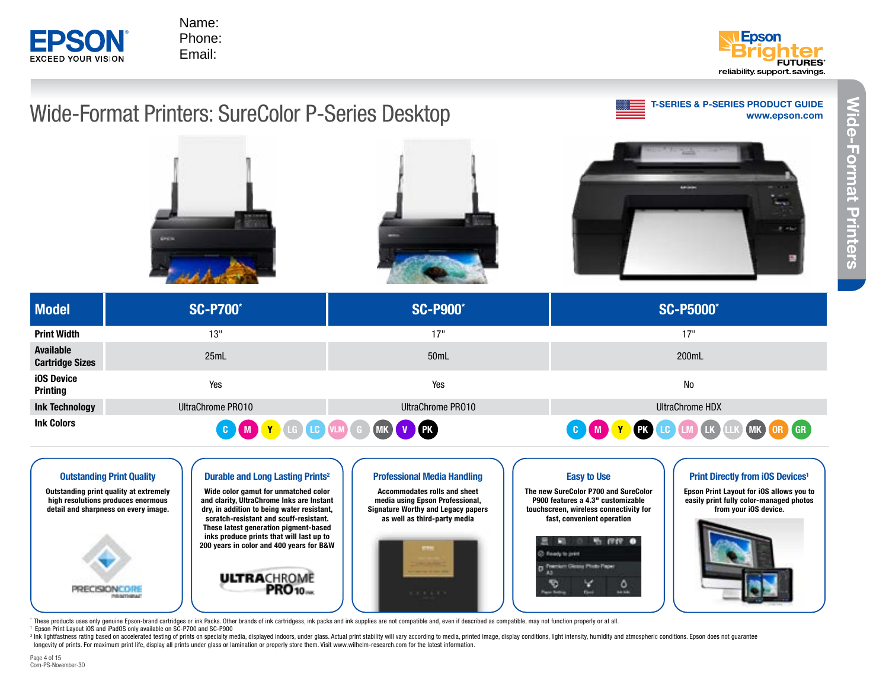



# [www.epson.com](http://www.epson.com/education) T-SERIES & P-SERIES PRODUCT GUIDE Wide-Format Printers: SureColor P-Series Desktop Model SC-P700\* SC-P900\* SC-P5000\* Print Width 13" 17" 17" مسين المستقل المستقل المستقل المستقل المستقل المستقل المستقل المستقل المستقل المستقل المستقل المستقل المستقل ا<br>المستقل المستقل المستقل المستقل المستقل المستقل المستقل المستقل المستقل المستقل المستقل المستقل المستقل المستق iOS Device nd Device<br>Printing The Month of Month of Month of Month of Month of Month of Month of Month of Month of Month of Month o<br>Printing **Ink Technology Construction Construction** UltraChrome PRO10 UltraChrome PRO10 UltraChrome HDX UltraChrome HDX Ink Colors **C M Y** LG LC VLM G MK V PK C M Y PK C M C LC M LK LLK MK OR GR



\* These products uses only genuine Epson-brand cartridges or ink Packs. Other brands of ink cartridgess, ink packs and ink supplies are not compatible and, even if described as compatible, may not function properly or at a 1 Epson Print Layout iOS and iPadOS only available on SC-P700 and SC-P900

<sup>1</sup> Epson Print Layout iOS and iPadOS only available on SC-P700 and SC-P900<br><sup>2</sup> Ink lightfastness rating based on accelerated testing of prints on specialty media, displayed indoors, under glass. Actual print stability wil longevity of prints. For maximum print life, display all prints under glass or lamination or properly store them. Visit www.wilhelm-research.com for the latest information.

Available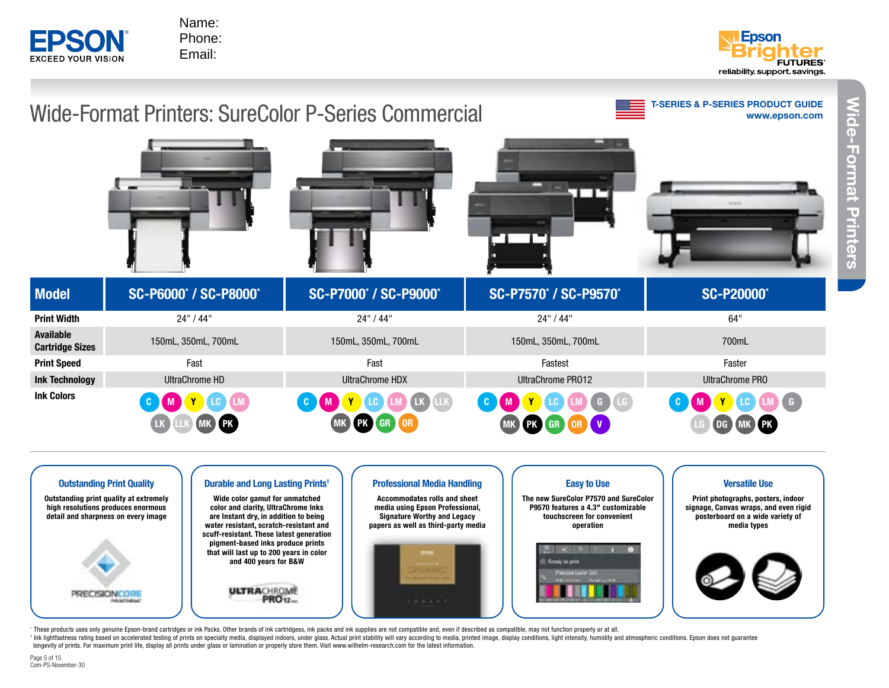



**Projectors**

Wide-Format Printers

*l***ide-Format Printers** 





" These products uses only genuine Epson-brand cartridges or ink Packs. Other brands of ink cartridgess, ink packs and ink supplies are not compatible and, even if described as compatible, may not function properly or at a \* These products uses only genuine Epson-brand cartridges or ink Packs. Other brands of ink cartridgess, ink packs and ink supplies are not compatible and, even if described as compatible, may not function properly or at a longevity of prints. For maximum print life, display all prints under glass or lamination or properly store them. Visit www.wilhelm-research.com for the latest information.

Page 5 of 15 Com-PS-November-30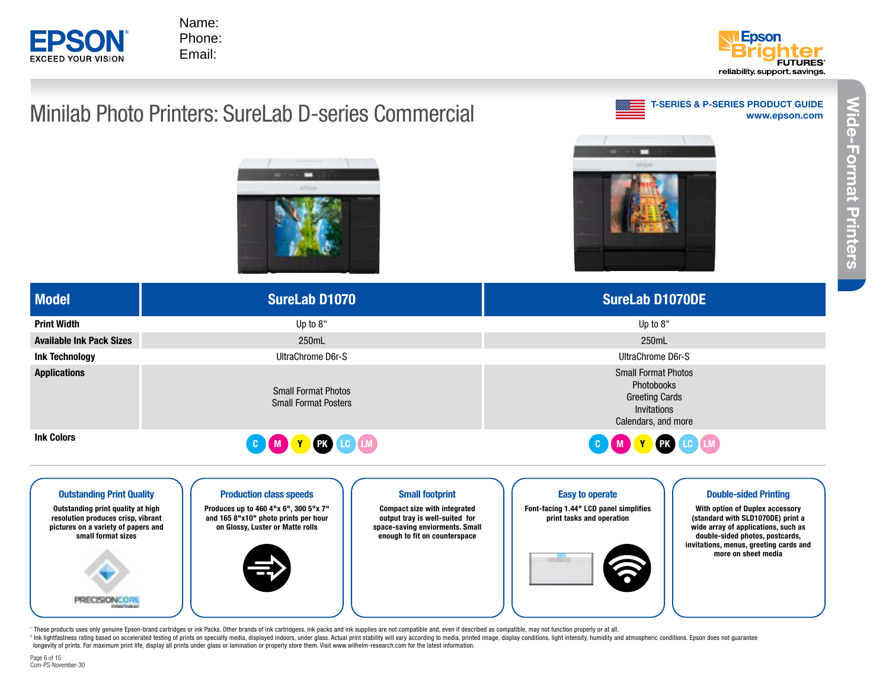



(standard with SLD1070DE) print a wide array of applications, such as double-sided photos, postcards, invitations, menus, greeting cards and more on sheet media

# Minilab Photo Printers: SureLab D-series Commercial







| <b>Model</b>                                                          | <b>SureLab D1070</b>                                                                                                                     | <b>SureLab D1070DE</b>                                                                                                              |  |
|-----------------------------------------------------------------------|------------------------------------------------------------------------------------------------------------------------------------------|-------------------------------------------------------------------------------------------------------------------------------------|--|
| Print Width                                                           | Up to $8"$                                                                                                                               | Up to $8"$                                                                                                                          |  |
| Available Ink Pack Sizes                                              | 250mL                                                                                                                                    | 250mL                                                                                                                               |  |
| Ink Technology                                                        | UltraChrome D6r-S                                                                                                                        | UltraChrome D6r-S                                                                                                                   |  |
| <b>Applications</b>                                                   | <b>Small Format Photos</b><br><b>Small Format Posters</b>                                                                                | <b>Small Format Photos</b><br>Photobooks<br><b>Greeting Cards</b><br>Invitations<br>Calendars, and more                             |  |
| Ink Colors                                                            | COMYCOM                                                                                                                                  | C M Y C C M                                                                                                                         |  |
| <b>Outstanding Print Quality</b><br>Outstanding print quality at high | <b>Production class speeds</b><br><b>Small footprint</b><br>Produces up to 460 4"x 6", 300 5"x 7"<br><b>Compact size with integrated</b> | <b>Easy to operate</b><br><b>Double-sided Printing</b><br>Font-facing 1.44" LCD panel simplifies<br>With option of Duplex accessory |  |

print tasks and operation

output tray is well-suited for space-saving enviorments. Small enough to fit on counterspace

" These products uses only genuine Epson-brand cartridges or ink Packs. Other brands of ink cartridgess, ink packs and ink supplies are not compatible and, even if described as compatible, may not function properly or at a Page 6 of 15 longevity of prints. For maximum print life, display all prints under glass or lamination or properly store them. Visit www.wilhelm-research.com for the latest information.

\* These products uses only genuine Epson-brand cartridges or ink Packs. Other brands of ink cartridgess, ink packs and ink supplies are not compatible and, even if described as compatible, may not function properly or at a

and 165 8"x10" photo prints per hour on Glossy, Luster or Matte rolls

resolution produces crisp, vibrant pictures on a variety of papers and small format sizes

PRECISIONCORE

Applications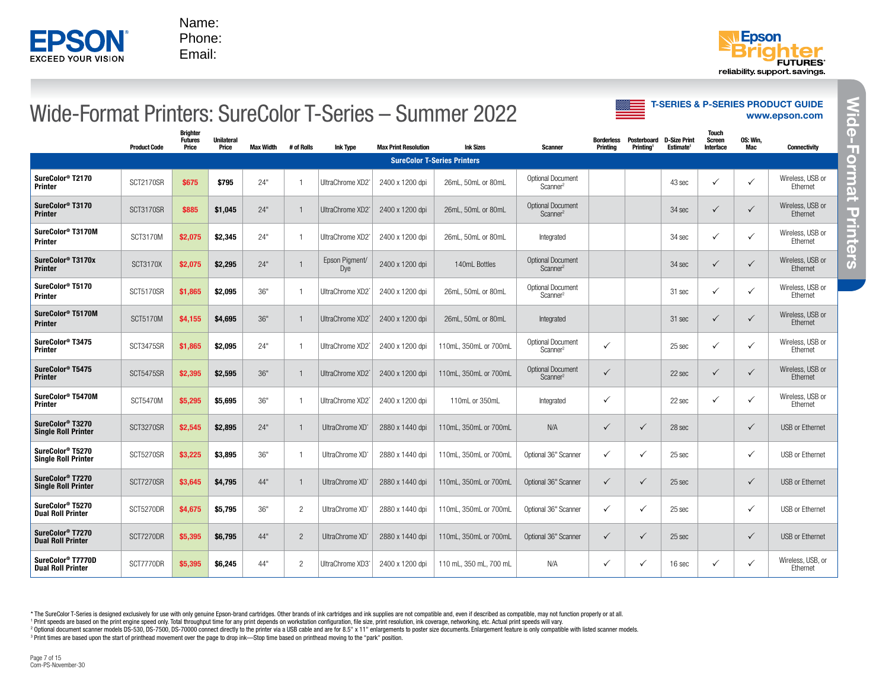Phone: Email:



T-SERIES & P-SERIES PRODUCT GUIDE

#### [www.epson.com](http://www.epson.com/education) Wide-Format Printers: SureColor T-Series – Summer 2022 Product Code Brighter Futures Price Unilateral Price Max Width # of Rolls Ink Type Max Print Resolution Ink Sizes Scanner Borderless Posterboard D-Size Print **Printing** Printing1 Estimate1 **Touch** Screen Interface OS: Win,<br>Mac Connectivity SureColor T-Series Printers SureColor<sup>®</sup> T2170<br>Printer **Printer COVID-12170 SCT2170SR \$675 \$795** 24" 1 UltraChrome XD2<sup>\*</sup><br>Printer  $2400 \times 1200$  dpi  $\Big|$  26mL, 50mL or 80mL  $\Big|$  Optional Document Scanner2 43 sec P P Wireless, USB or Ethernet SureColor<sup>®</sup> T3170<br>Printer SureColor® T3170 **SCT3170SR** \$885 \$1,045 24" 1 UltraChrome XD2' 2400 x 1200 dpi 26mL, 50mL or 80mL Optional Document Scanner2 34 sec P P Wireless, USB or Ethernet SureColor® T3170M SureColor® T3170M SCT3170M \$2,075 \$2,345 24" 1 UltraChrome XD2<sup>-</sup> 2400 x 1200 dpi 26mL, 50mL or 80mL Integrated Integrated 34 sec *V* P Wireless, USB or Ethernet SureColor<sup>®</sup> T3170x<br>Printer SureColor® T3170x <br>Printer 1 Epson Pigment/<br>Printer 1 Dye Pigment/ 2400 x 1200 dpi 140mL Bottles Optional Document<br>Dye Scanner<sup>2</sup> Scanner2 34 sec P P Wireless, USB or **Ethernet** SureColor® T5170 SureColor® T5170 <br>Printer Scanner<sup>2</sup> SCT5170SR \$1,865 \$2,095 36" 1 UltraChrome XD2<sup>'</sup> 2400 x 1200 dpi 26mL, 50mL or 80mL <sup>Optional Document</sup> Scanner2 31 sec P P Wireless, USB or **Ethernet** SureColor® T5170M SureColor® T5170M SCT5170M \$4,155 \$4,695 36" 1 UltraChrome XD2<sup>-</sup> 2400 x 1200 dpi 26mL, 50mL or 80mL Integrated Integrated 31 sec *V* P Wireless, USB or Ethernet SureColor<sup>®</sup> T3475<br>Printer **Printer SAFS SCT3475SR \$1,865 \$2,095** 24" 1 UltraChrome XD2<sup>\*</sup><br>Printer  $2400 \times 1200$  dpi 110mL, 350mL or 700mL Optional Document Scanner2 <sup>P</sup>25 sec P P Wireless, USB or Ethernet SureColor<sup>®</sup> T5475<br>Printer Printer SCT5475SR \$2,395 \$2,595 36" 1 UltraChrome XD2\* 2400 x 1200 dpi  $\begin{array}{|c|c|c|c|c|}\n\hline\n2400 & 110 & 350 & \text{or } 700 & \text{C}{\text{C}}\n\end{array}$ Scanner2 <sup>P</sup>22 sec P P Wireless, USB or Ethernet SureColor<sup>®</sup> T5470M<br>Printer **Printer 19470M SCT5470M \$5,295 \$5,695** 36" 1 | UltraChrome XD2<sup>\*</sup>  $2400 \times 1200$  dpi 110mL or 350mL Integrated  $\checkmark$  / 22 sec  $\checkmark$  /  $\checkmark$  Wireless, USB or Ethernet SureColor<sup>®</sup> T3270<br>Single Roll Printer SureColor 13270<br>Single Roll Printer | SCT3270SR | \$2,545 | \$2,895 | 24" | 1 | UltraChrome XD\* | 2880 x 1440 dpi | 110mL, 350mL or 700mL | N/A | √ | 28 sec | √ | USB or Ethernet SureColor<sup>®</sup> T5270<br>Single Roll Printer SureColor 19270 SCT5270SR \$3,225 \$3,895 36" 1 UltraChrome XD° 2880 x 1440 dpi 110mL, 350mL or 700mL Optional 36" Scanner V | V | 25 sec | V | USB or Ethernet SureColor<sup>®</sup> T7270<br>Single Roll Printer Strevenor Trand SCT7270SR \$3,645 \$4,795 44" 1 UltraChrome XD\* 2880 x 1440 dpi 110mL, 350mL or 700mL Optional 36" Scanner V | V | 25 sec | V | USB or Ethernet SureColor<sup>®</sup> T5270<br>Dual Roll Printer SureColor 19270 SCT5270DR \$4,675 \$5,795 36" 2 UltraChrome XD° 2880 x 1440 dpi 110mL, 350mL or 700mL Optional 36" Scanner V | V | 25 sec | V | USB or Ethernet SureColor<sup>®</sup> T7270<br>Dual Roll Printer SureColor T7270<br>Dual Roll Printer SCT7270DR \$5,395 \$6,795 44" 2 UltraChrome XD° 2880 x 1440 dpi 110mL, 350mL or 700mL Optional 36" Scanner V → 25 sec P V USB or Ethernet SureColor<sup>®</sup> T7770D<br>Dual Roll Printer SureColor® T7770D SCT7770DR \$5,395 \$6,245 44" 2 UltraChrome XD3<sup>-</sup> 2400 x 1200 dpi 110 mL, 350 mL, 700 mL N/A VA V Viel V 16 sec V V <sup>Wireless, USB, or<br>Dual Roll Printer SCT7770DR \$5,395 \$6,245 44" 2 UltraChrome XD3<sup>-</sup> 24</sup> Ethernet **EPRINT The Start of Print Term** are based upon the start of print of print time based upon the start of print of print of print of print of print over the page to drop in the page to the page to the page to the moving to

\* The SureColor T-Series is designed exclusively for use with only genuine Epson-brand cartridges. Other brands of ink cartridges and ink supplies are not compatible and, even if described as compatible, may not function p

<sup>1</sup> Print speeds are based on the print engine speed only. Total throughput time for any print depends on workstation configuration, file size, print resolution, ink coverage, networking, etc. Actual print speeds will vary

<sup>2</sup> Optional document scanner models DS-530, DS-7500, DS-70000 connect directly to the printer via a USB cable and are for 8.5" x 11" enlargements to poster size documents. Enlargement feature is only compatible with liste <sup>3</sup> Print times are based upon the start of printhead movement over the page to drop ink—Stop time based on printhead moving to the "park" position.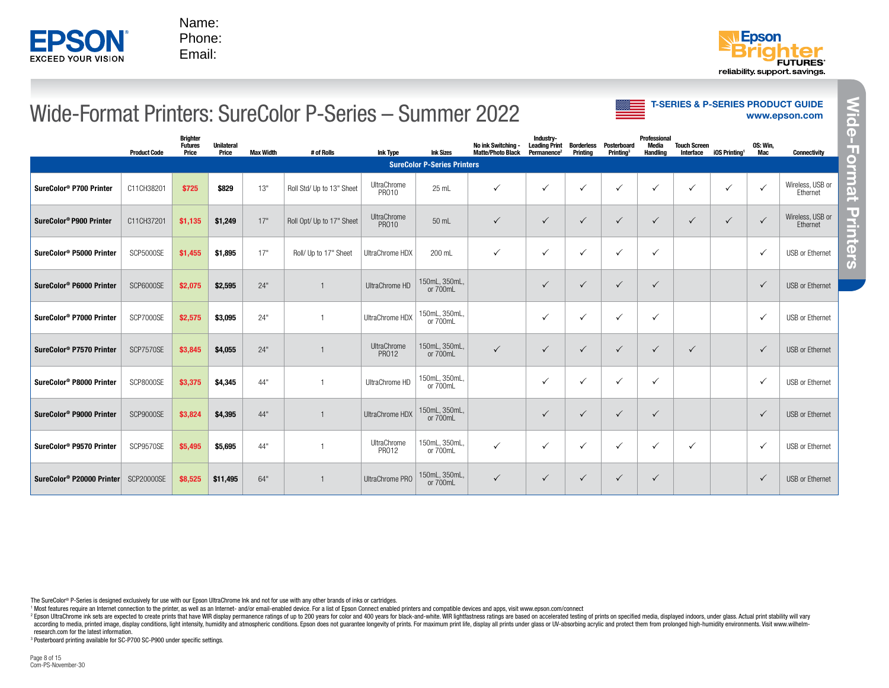



#### Wide-Format Printers: SureColor P-Series – Summer 2022

|                                       | <b>Product Code</b> | <b>Brighter</b><br><b>Futures</b><br>Price | <b>Unilateral</b><br>Price | <b>Max Width</b> | # of Rolls                | <b>Ink Type</b>      | <b>Ink Sizes</b>                   | No ink Switching -<br><b>Matte/Photo Black</b> | Industry-<br><b>Leading Print</b><br>Permanence <sup>2</sup> | Borderless<br>Printing | Posterboard<br><b>Printing</b> <sup>3</sup> | Professional<br>Media<br><b>Handling</b> | <b>Touch Screen</b><br>Interface | iOS Printing <sup>1</sup> | OS: Win,<br>Mac | <b>Connectivity</b>          |
|---------------------------------------|---------------------|--------------------------------------------|----------------------------|------------------|---------------------------|----------------------|------------------------------------|------------------------------------------------|--------------------------------------------------------------|------------------------|---------------------------------------------|------------------------------------------|----------------------------------|---------------------------|-----------------|------------------------------|
|                                       |                     |                                            |                            |                  |                           |                      | <b>SureColor P-Series Printers</b> |                                                |                                                              |                        |                                             |                                          |                                  |                           |                 |                              |
| SureColor <sup>®</sup> P700 Printer   | C11CH38201          | \$725                                      | \$829                      | 13"              | Roll Std/ Up to 13" Sheet | UltraChrome<br>PR010 | $25$ mL                            | $\checkmark$                                   | $\checkmark$                                                 | $\checkmark$           | $\checkmark$                                | $\checkmark$                             | $\checkmark$                     | $\checkmark$              | $\checkmark$    | Wireless, USB or<br>Ethernet |
| SureColor® P900 Printer               | C11CH37201          | \$1,135                                    | \$1,249                    | 17"              | Roll Opt/ Up to 17" Sheet | UltraChrome<br>PR010 | 50 mL                              | $\checkmark$                                   | $\checkmark$                                                 | $\checkmark$           | $\checkmark$                                | $\checkmark$                             | $\checkmark$                     | $\checkmark$              | $\checkmark$    | Wireless, USB or<br>Ethernet |
| SureColor® P5000 Printer              | <b>SCP5000SE</b>    | \$1,455                                    | \$1,895                    | 17"              | Roll/ Up to 17" Sheet     | UltraChrome HDX      | 200 mL                             | $\checkmark$                                   | $\checkmark$                                                 | $\checkmark$           | $\checkmark$                                | $\checkmark$                             |                                  |                           | $\checkmark$    | USB or Ethernet              |
| SureColor® P6000 Printer              | <b>SCP6000SE</b>    | \$2,075                                    | \$2,595                    | 24"              | $\mathbf{1}$              | UltraChrome HD       | 150mL, 350mL,<br>or 700mL          |                                                | $\checkmark$                                                 | $\checkmark$           | $\checkmark$                                | $\checkmark$                             |                                  |                           | $\checkmark$    | <b>USB or Ethernet</b>       |
| SureColor <sup>®</sup> P7000 Printer  | SCP7000SE           | \$2,575                                    | \$3,095                    | 24"              | $\overline{1}$            | UltraChrome HDX      | 150mL, 350mL<br>or 700mL           |                                                | $\checkmark$                                                 | ✓                      | ✓                                           | ✓                                        |                                  |                           | $\checkmark$    | USB or Ethernet              |
| SureColor <sup>®</sup> P7570 Printer  | SCP7570SE           | \$3,845                                    | \$4,055                    | 24"              | $\overline{1}$            | UltraChrome<br>PR012 | 150mL, 350mL<br>or 700mL           | $\checkmark$                                   | $\checkmark$                                                 | $\checkmark$           | $\checkmark$                                | $\checkmark$                             | $\checkmark$                     |                           | $\checkmark$    | <b>USB or Ethernet</b>       |
| SureColor <sup>®</sup> P8000 Printer  | <b>SCP8000SE</b>    | \$3,375                                    | \$4,345                    | 44"              | $\overline{1}$            | UltraChrome HD       | 150mL, 350mL<br>or 700mL           |                                                | ✓                                                            | ✓                      | $\checkmark$                                | $\checkmark$                             |                                  |                           | $\checkmark$    | <b>USB or Ethernet</b>       |
| SureColor <sup>®</sup> P9000 Printer  | <b>SCP9000SE</b>    | \$3,824                                    | \$4,395                    | 44"              | $\overline{1}$            | UltraChrome HDX      | 150mL, 350mL,<br>or 700mL          |                                                | $\checkmark$                                                 | $\checkmark$           | $\checkmark$                                | $\checkmark$                             |                                  |                           | $\checkmark$    | <b>USB or Ethernet</b>       |
| SureColor <sup>®</sup> P9570 Printer  | SCP9570SE           | \$5,495                                    | \$5,695                    | 44"              | $\mathbf{1}$              | UltraChrome<br>PR012 | 150mL, 350mL<br>or 700mL           | ✓                                              | $\checkmark$                                                 | $\checkmark$           | ✓                                           | $\checkmark$                             | $\checkmark$                     |                           | $\checkmark$    | <b>USB or Ethernet</b>       |
| SureColor <sup>®</sup> P20000 Printer | <b>SCP20000SE</b>   | \$8,525                                    | \$11,495                   | 64"              | 1                         | UltraChrome PRO      | 150mL, 350mL,<br>or 700mL          | $\checkmark$                                   | $\checkmark$                                                 | $\checkmark$           | $\checkmark$                                | $\checkmark$                             |                                  |                           | $\checkmark$    | <b>USB or Ethernet</b>       |

<sup>3</sup> Posterboard printing available for SC-P700 SC-P900 under specific settings.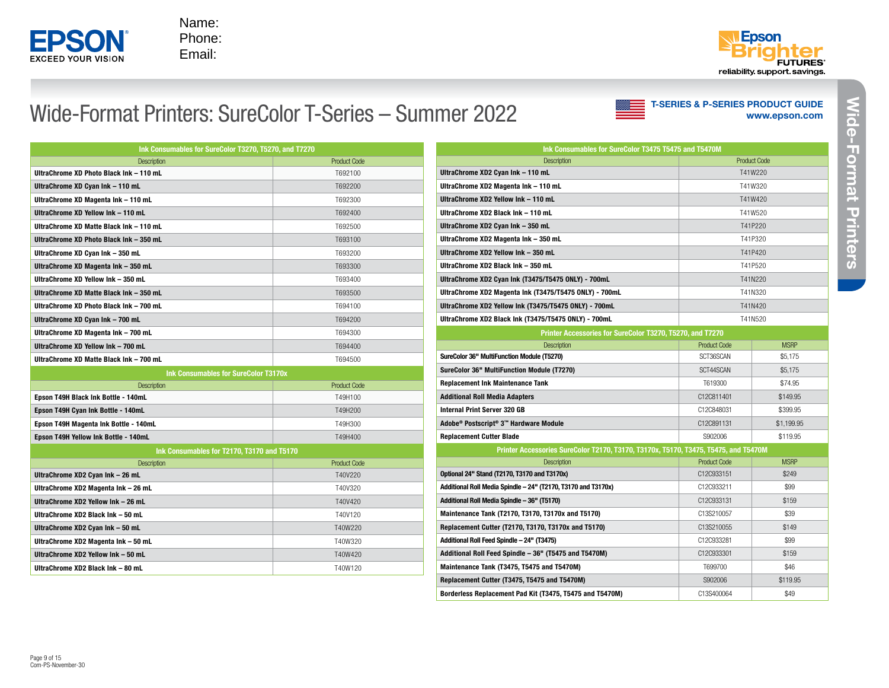

### Wide-Format Printers: SureColor T-Series – Summer 2022

[www.epson.com](http://www.epson.com/education) T-SERIES & P-SERIES PRODUCT GUIDE

| Ink Consumables for SureColor T3270, T5270, and T7270 |                     |  |  |  |
|-------------------------------------------------------|---------------------|--|--|--|
| <b>Description</b>                                    | <b>Product Code</b> |  |  |  |
| UltraChrome XD Photo Black Ink - 110 mL               | T692100             |  |  |  |
| UltraChrome XD Cyan Ink - 110 mL                      | T692200             |  |  |  |
| UltraChrome XD Magenta Ink - 110 mL                   | T692300             |  |  |  |
| UltraChrome XD Yellow Ink - 110 mL                    | T692400             |  |  |  |
| UltraChrome XD Matte Black Ink - 110 mL               | T692500             |  |  |  |
| UltraChrome XD Photo Black Ink - 350 mL               | T693100             |  |  |  |
| UltraChrome XD Cyan Ink - 350 mL                      | T693200             |  |  |  |
| UltraChrome XD Magenta Ink - 350 mL                   | T693300             |  |  |  |
| UltraChrome XD Yellow Ink - 350 mL                    | T693400             |  |  |  |
| UltraChrome XD Matte Black Ink - 350 mL               | T693500             |  |  |  |
| UltraChrome XD Photo Black Ink - 700 mL               | T694100             |  |  |  |
| UltraChrome XD Cyan Ink - 700 mL                      | T694200             |  |  |  |
| UltraChrome XD Magenta Ink - 700 mL                   | T694300             |  |  |  |
| UltraChrome XD Yellow Ink - 700 mL                    | T694400             |  |  |  |
| UltraChrome XD Matte Black Ink - 700 mL               | T694500             |  |  |  |
| Ink Consumables for SureColor T3170x                  |                     |  |  |  |
| <b>Description</b>                                    | <b>Product Code</b> |  |  |  |
| Epson T49H Black Ink Bottle - 140mL                   | T49H100             |  |  |  |
| Epson T49H Cyan Ink Bottle - 140mL                    | T49H200             |  |  |  |
| Epson T49H Magenta Ink Bottle - 140mL                 | T49H300             |  |  |  |
| Epson T49H Yellow Ink Bottle - 140mL                  | T49H400             |  |  |  |
| Ink Consumables for T2170, T3170 and T5170            |                     |  |  |  |
| <b>Description</b>                                    | <b>Product Code</b> |  |  |  |
| UltraChrome XD2 Cyan Ink - 26 mL                      | T40V220             |  |  |  |
| UltraChrome XD2 Magenta Ink - 26 mL                   | T40V320             |  |  |  |
| UltraChrome XD2 Yellow Ink - 26 mL                    | T40V420             |  |  |  |
| UltraChrome XD2 Black Ink - 50 mL                     | T40V120             |  |  |  |
| UltraChrome XD2 Cyan Ink - 50 mL                      | T40W220             |  |  |  |
| UltraChrome XD2 Magenta Ink - 50 mL                   | T40W320             |  |  |  |
| UltraChrome XD2 Yellow Ink - 50 mL                    | T40W420             |  |  |  |
| UltraChrome XD2 Black Ink - 80 mL                     | T40W120             |  |  |  |

| Ink Consumables for SureColor T3475 T5475 and T5470M   |                     |  |  |  |
|--------------------------------------------------------|---------------------|--|--|--|
| <b>Description</b>                                     | <b>Product Code</b> |  |  |  |
| UltraChrome XD2 Cyan Ink - 110 mL                      | T41W220             |  |  |  |
| UltraChrome XD2 Magenta Ink - 110 mL                   | T41W320             |  |  |  |
| UltraChrome XD2 Yellow Ink - 110 mL                    | T41W420             |  |  |  |
| UltraChrome XD2 Black Ink - 110 mL                     | T41W520             |  |  |  |
| UltraChrome XD2 Cyan Ink - 350 mL                      | T41P220             |  |  |  |
| UltraChrome XD2 Magenta Ink - 350 mL                   | T41P320             |  |  |  |
| UltraChrome XD2 Yellow Ink - 350 mL                    | T41P420             |  |  |  |
| UltraChrome XD2 Black Ink - 350 mL                     | T41P520             |  |  |  |
| UltraChrome XD2 Cyan Ink (T3475/T5475 ONLY) - 700mL    | T41N220             |  |  |  |
| UltraChrome XD2 Magenta Ink (T3475/T5475 ONLY) - 700mL | T41N320             |  |  |  |
| UltraChrome XD2 Yellow Ink (T3475/T5475 ONLY) - 700mL  | T41N420             |  |  |  |
| UltraChrome XD2 Black Ink (T3475/T5475 ONLY) - 700mL   | T41N520             |  |  |  |

| Printer Accessories for SureColor T3270, T5270, and T7270 |                     |             |  |  |  |
|-----------------------------------------------------------|---------------------|-------------|--|--|--|
| <b>Description</b>                                        | <b>Product Code</b> | <b>MSRP</b> |  |  |  |
| SureColor 36" MultiFunction Module (T5270)                | SCT36SCAN           | \$5,175     |  |  |  |
| SureColor 36" MultiFunction Module (T7270)                | SCT44SCAN           | \$5.175     |  |  |  |
| <b>Replacement Ink Maintenance Tank</b>                   | T619300             | \$74.95     |  |  |  |
| <b>Additional Roll Media Adapters</b>                     | C12C811401          | \$149.95    |  |  |  |
| <b>Internal Print Server 320 GB</b>                       | C12C848031          | \$399.95    |  |  |  |
| Adobe® Postscript® 3™ Hardware Module                     | C12C891131          | \$1.199.95  |  |  |  |
| <b>Replacement Cutter Blade</b>                           | S902006             | \$119.95    |  |  |  |

Printer Accessories SureColor T2170, T3170, T3170x, T5170, T3475, T5475, and T5470M

| <b>Description</b>                                            | <b>Product Code</b> | <b>MSRP</b> |
|---------------------------------------------------------------|---------------------|-------------|
| Optional 24" Stand (T2170, T3170 and T3170x)                  | C12C933151          | \$249       |
| Additional Roll Media Spindle - 24" (T2170, T3170 and T3170x) | C12C933211          | \$99        |
| Additional Roll Media Spindle - 36" (T5170)                   | C12C933131          | \$159       |
| Maintenance Tank (T2170, T3170, T3170x and T5170)             | C13S210057          | \$39        |
| Replacement Cutter (T2170, T3170, T3170x and T5170)           | C13S210055          | \$149       |
| Additional Roll Feed Spindle - 24" (T3475)                    | C12C933281          | \$99        |
| Additional Roll Feed Spindle - 36" (T5475 and T5470M)         | C12C933301          | \$159       |
| Maintenance Tank (T3475, T5475 and T5470M)                    | T699700             | \$46        |
| Replacement Cutter (T3475, T5475 and T5470M)                  | S902006             | \$119.95    |
| Borderless Replacement Pad Kit (T3475, T5475 and T5470M)      | C13S400064          | \$49        |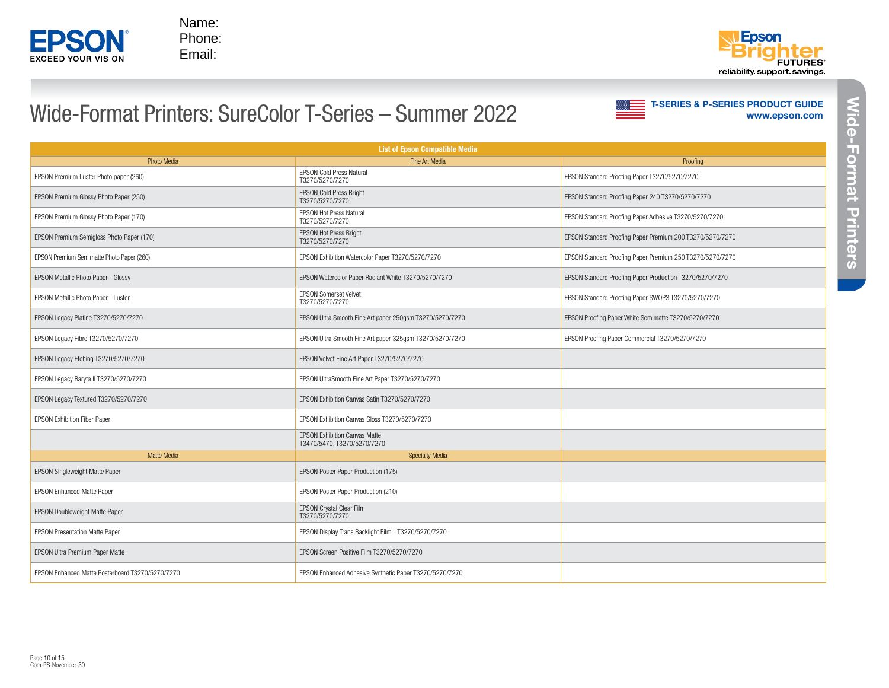



# Wide-Format Printers: SureColor T-Series – Summer 2022

| <b>List of Epson Compatible Media</b>            |                                                                     |                                                           |  |  |  |
|--------------------------------------------------|---------------------------------------------------------------------|-----------------------------------------------------------|--|--|--|
| <b>Photo Media</b>                               | Fine Art Media                                                      | Proofing                                                  |  |  |  |
| EPSON Premium Luster Photo paper (260)           | <b>EPSON Cold Press Natural</b><br>T3270/5270/7270                  | EPSON Standard Proofing Paper T3270/5270/7270             |  |  |  |
| EPSON Premium Glossy Photo Paper (250)           | <b>EPSON Cold Press Bright</b><br>T3270/5270/7270                   | EPSON Standard Proofing Paper 240 T3270/5270/7270         |  |  |  |
| EPSON Premium Glossy Photo Paper (170)           | <b>EPSON Hot Press Natural</b><br>T3270/5270/7270                   | EPSON Standard Proofing Paper Adhesive T3270/5270/7270    |  |  |  |
| EPSON Premium Semigloss Photo Paper (170)        | <b>EPSON Hot Press Bright</b><br>T3270/5270/7270                    | EPSON Standard Proofing Paper Premium 200 T3270/5270/7270 |  |  |  |
| EPSON Premium Semimatte Photo Paper (260)        | EPSON Exhibition Watercolor Paper T3270/5270/7270                   | EPSON Standard Proofing Paper Premium 250 T3270/5270/7270 |  |  |  |
| EPSON Metallic Photo Paper - Glossy              | EPSON Watercolor Paper Radiant White T3270/5270/7270                | EPSON Standard Proofing Paper Production T3270/5270/7270  |  |  |  |
| EPSON Metallic Photo Paper - Luster              | <b>EPSON Somerset Velvet</b><br>T3270/5270/7270                     | EPSON Standard Proofing Paper SWOP3 T3270/5270/7270       |  |  |  |
| EPSON Legacy Platine T3270/5270/7270             | EPSON Ultra Smooth Fine Art paper 250gsm T3270/5270/7270            | EPSON Proofing Paper White Semimatte T3270/5270/7270      |  |  |  |
| EPSON Legacy Fibre T3270/5270/7270               | EPSON Ultra Smooth Fine Art paper 325qsm T3270/5270/7270            | EPSON Proofing Paper Commercial T3270/5270/7270           |  |  |  |
| EPSON Legacy Etching T3270/5270/7270             | EPSON Velvet Fine Art Paper T3270/5270/7270                         |                                                           |  |  |  |
| EPSON Legacy Baryta II T3270/5270/7270           | EPSON UltraSmooth Fine Art Paper T3270/5270/7270                    |                                                           |  |  |  |
| EPSON Legacy Textured T3270/5270/7270            | EPSON Exhibition Canvas Satin T3270/5270/7270                       |                                                           |  |  |  |
| <b>EPSON Exhibition Fiber Paper</b>              | EPSON Exhibition Canvas Gloss T3270/5270/7270                       |                                                           |  |  |  |
|                                                  | <b>EPSON Exhibition Canvas Matte</b><br>T3470/5470, T3270/5270/7270 |                                                           |  |  |  |
| <b>Matte Media</b>                               | <b>Specialty Media</b>                                              |                                                           |  |  |  |
| EPSON Singleweight Matte Paper                   | EPSON Poster Paper Production (175)                                 |                                                           |  |  |  |
| <b>EPSON Enhanced Matte Paper</b>                | EPSON Poster Paper Production (210)                                 |                                                           |  |  |  |
| <b>EPSON Doubleweight Matte Paper</b>            | EPSON Crystal Clear Film<br>T3270/5270/7270                         |                                                           |  |  |  |
| <b>EPSON Presentation Matte Paper</b>            | EPSON Display Trans Backlight Film II T3270/5270/7270               |                                                           |  |  |  |
| EPSON Ultra Premium Paper Matte                  | EPSON Screen Positive Film T3270/5270/7270                          |                                                           |  |  |  |
| EPSON Enhanced Matte Posterboard T3270/5270/7270 | EPSON Enhanced Adhesive Synthetic Paper T3270/5270/7270             |                                                           |  |  |  |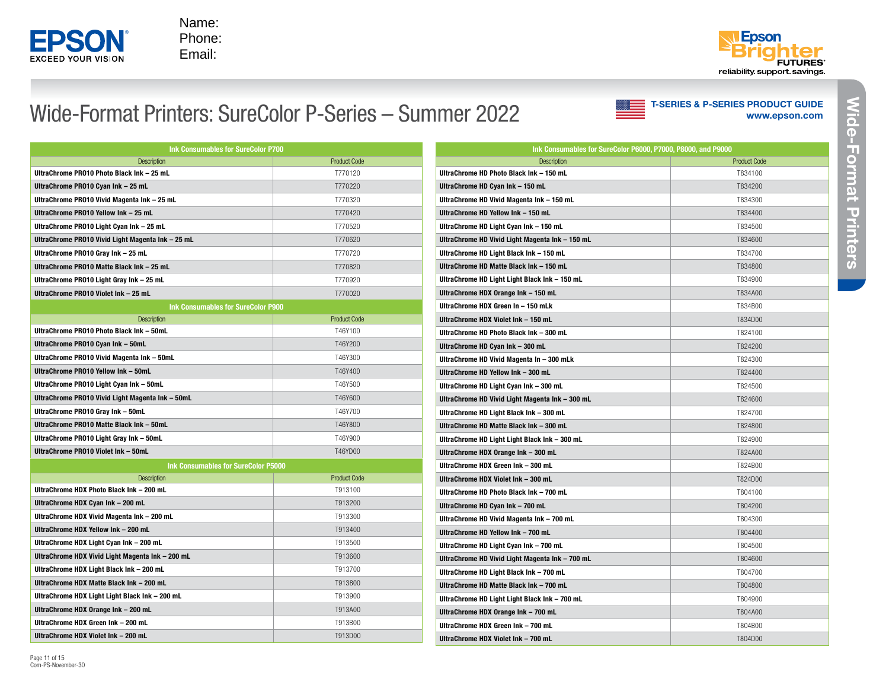



#### Wide-Format Printers: SureColor P-Series – Summer 2022

| Name:<br>ΞP<br>Phone:<br>Email:<br><b>XCEED YOUR VISION</b>    |                                                        |                                                                               | <b>FUTURES</b><br>reliability support savings.                |
|----------------------------------------------------------------|--------------------------------------------------------|-------------------------------------------------------------------------------|---------------------------------------------------------------|
|                                                                | Nide-Format Printers: SureColor P-Series - Summer 2022 |                                                                               | <b>T-SERIES &amp; P-SERIES PRODUCT GUIDE</b><br>www.epson.com |
| Ink Consumables for SureColor P700                             |                                                        | Ink Consumables for SureColor P6000, P7000, P8000, and P9000                  |                                                               |
| Description<br>UltraChrome PR010 Photo Black Ink - 25 mL       | <b>Product Code</b><br>T770120                         | <b>Description</b><br>UltraChrome HD Photo Black Ink - 150 mL                 | <b>Product Code</b><br>T834100                                |
| UltraChrome PR010 Cyan Ink - 25 mL                             | T770220                                                |                                                                               | T834200                                                       |
| UltraChrome PR010 Vivid Magenta Ink - 25 mL                    | T770320                                                | UltraChrome HD Cyan Ink - 150 mL<br>UltraChrome HD Vivid Magenta Ink - 150 mL | T834300                                                       |
| UltraChrome PR010 Yellow Ink - 25 mL                           | T770420                                                | UltraChrome HD Yellow Ink - 150 mL                                            | T834400                                                       |
| UltraChrome PR010 Light Cyan Ink – 25 mL                       | T770520                                                | UltraChrome HD Light Cyan Ink - 150 mL                                        | T834500                                                       |
| UltraChrome PR010 Vivid Light Magenta Ink – 25 mL              | T770620                                                | UltraChrome HD Vivid Light Magenta Ink - 150 mL                               | T834600                                                       |
| UltraChrome PR010 Gray Ink - 25 mL                             | T770720                                                | UltraChrome HD Light Black Ink - 150 mL                                       | T834700                                                       |
| UltraChrome PR010 Matte Black Ink – 25 mL                      | T770820                                                | UltraChrome HD Matte Black Ink - 150 mL                                       | T834800                                                       |
| UltraChrome PR010 Light Gray Ink - 25 mL                       | T770920                                                | UltraChrome HD Light Light Black Ink - 150 mL                                 | T834900                                                       |
| UltraChrome PR010 Violet Ink - 25 mL                           | T770020                                                | UltraChrome HDX Orange Ink - 150 mL                                           | T834A00                                                       |
| Ink Consumables for SureColor P900                             |                                                        | UltraChrome HDX Green In - 150 mLk                                            | T834B00                                                       |
| <b>Description</b>                                             | <b>Product Code</b>                                    | UltraChrome HDX Violet Ink - 150 mL                                           | T834D00                                                       |
| UltraChrome PR010 Photo Black Ink - 50mL                       | T46Y100                                                | UltraChrome HD Photo Black Ink - 300 mL                                       | T824100                                                       |
| UltraChrome PR010 Cyan Ink – 50mL                              | T46Y200                                                | UltraChrome HD Cyan Ink - 300 mL                                              | T824200                                                       |
| UltraChrome PR010 Vivid Magenta Ink – 50mL                     | T46Y300                                                | UltraChrome HD Vivid Magenta In - 300 mLk                                     | T824300                                                       |
| UltraChrome PR010 Yellow Ink – 50mL                            | T46Y400                                                | UltraChrome HD Yellow Ink - 300 mL                                            | T824400                                                       |
| UltraChrome PR010 Light Cyan Ink – 50mL                        | T46Y500                                                | UltraChrome HD Light Cyan Ink - 300 mL                                        | T824500                                                       |
| UltraChrome PR010 Vivid Light Magenta Ink - 50mL               | T46Y600                                                | UltraChrome HD Vivid Light Magenta Ink - 300 mL                               | T824600                                                       |
| UltraChrome PR010 Gray Ink – 50mL                              | T46Y700                                                | UltraChrome HD Light Black Ink - 300 mL                                       | T824700                                                       |
| UltraChrome PR010 Matte Black Ink – 50mL                       | T46Y800                                                | UltraChrome HD Matte Black Ink - 300 mL                                       | T824800                                                       |
| UltraChrome PR010 Light Gray Ink - 50mL                        | T46Y900                                                | UltraChrome HD Light Light Black Ink - 300 mL                                 | T824900                                                       |
| UltraChrome PR010 Violet Ink - 50mL                            | T46YD00                                                | UltraChrome HDX Orange Ink - 300 mL                                           | T824A00                                                       |
|                                                                | Ink Consumables for SureColor P5000                    | UltraChrome HDX Green Ink - 300 mL                                            | T824B00                                                       |
| <b>Description</b><br>UltraChrome HDX Photo Black Ink - 200 mL | <b>Product Code</b><br>T913100                         | UltraChrome HDX Violet Ink - 300 mL                                           | T824D00                                                       |
| UltraChrome HDX Cyan Ink - 200 mL                              | T913200                                                | UltraChrome HD Photo Black Ink - 700 mL                                       | T804100                                                       |
| UltraChrome HDX Vivid Magenta Ink - 200 mL                     | T913300                                                | UltraChrome HD Cyan Ink - 700 mL                                              | T804200                                                       |
| UltraChrome HDX Yellow Ink - 200 mL                            | T913400                                                | UltraChrome HD Vivid Magenta Ink - 700 mL                                     | T804300<br>T804400                                            |
| UltraChrome HDX Light Cyan Ink - 200 mL                        | T913500                                                | UltraChrome HD Yellow Ink - 700 mL<br>UltraChrome HD Light Cyan Ink - 700 mL  | T804500                                                       |
| UltraChrome HDX Vivid Light Magenta Ink - 200 mL               | T913600                                                | UltraChrome HD Vivid Light Magenta Ink - 700 mL                               | T804600                                                       |
| UltraChrome HDX Light Black Ink - 200 mL                       | T913700                                                | UltraChrome HD Light Black Ink - 700 mL                                       | T804700                                                       |
| UltraChrome HDX Matte Black Ink - 200 mL                       | T913800                                                | UltraChrome HD Matte Black Ink - 700 mL                                       | T804800                                                       |
| UltraChrome HDX Light Light Black Ink - 200 mL                 | T913900                                                | UltraChrome HD Light Light Black Ink - 700 mL                                 | T804900                                                       |
| UltraChrome HDX Orange Ink - 200 mL                            | T913A00                                                | UltraChrome HDX Orange Ink - 700 mL                                           | T804A00                                                       |
| UltraChrome HDX Green Ink - 200 mL                             | T913B00                                                | UltraChrome HDX Green Ink - 700 mL                                            | T804B00                                                       |
| UltraChrome HDX Violet Ink - 200 mL                            | T913D00                                                | UltraChrome HDX Violet Ink - 700 mL                                           | T804D00                                                       |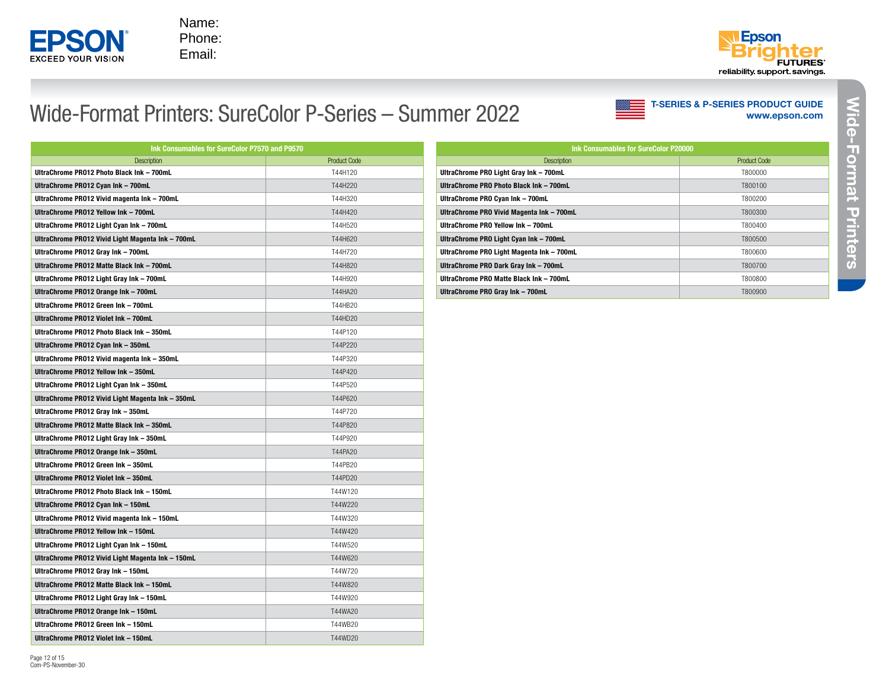

Page 12 of 15 Com-PS-November-30

Name: Phone: Email:



#### Wide-Format Printers: SureColor P-Series – Summer 2022

| Ink Consumables for SureColor P7570 and P9570     |                     |  |  |
|---------------------------------------------------|---------------------|--|--|
| <b>Description</b>                                | <b>Product Code</b> |  |  |
| UltraChrome PR012 Photo Black Ink - 700mL         | T44H120             |  |  |
| UltraChrome PR012 Cyan Ink - 700mL                | T44H220             |  |  |
| UltraChrome PR012 Vivid magenta Ink - 700mL       | T44H320             |  |  |
| UltraChrome PR012 Yellow Ink - 700mL              | T44H420             |  |  |
| UltraChrome PR012 Light Cyan Ink - 700mL          | T44H520             |  |  |
| UltraChrome PR012 Vivid Light Magenta Ink - 700mL | T44H620             |  |  |
| UltraChrome PR012 Gray Ink - 700mL                | T44H720             |  |  |
| UltraChrome PR012 Matte Black Ink - 700mL         | T44H820             |  |  |
| UltraChrome PR012 Light Gray Ink - 700mL          | T44H920             |  |  |
| UltraChrome PR012 Orange Ink - 700mL              | T44HA20             |  |  |
| UltraChrome PR012 Green Ink - 700mL               | T44HB20             |  |  |
| UltraChrome PR012 Violet Ink - 700mL              | T44HD20             |  |  |
| UltraChrome PR012 Photo Black Ink - 350mL         | T44P120             |  |  |
| UltraChrome PR012 Cyan Ink - 350mL                | T44P220             |  |  |
| UltraChrome PR012 Vivid magenta Ink - 350mL       | T44P320             |  |  |
| UltraChrome PR012 Yellow Ink - 350mL              | T44P420             |  |  |
| UltraChrome PR012 Light Cyan Ink - 350mL          | T44P520             |  |  |
| UltraChrome PR012 Vivid Light Magenta Ink - 350mL | T44P620             |  |  |
| UltraChrome PR012 Gray Ink - 350mL                | T44P720             |  |  |
| UltraChrome PR012 Matte Black Ink - 350mL         | T44P820             |  |  |
| UltraChrome PR012 Light Gray Ink - 350mL          | T44P920             |  |  |
| UltraChrome PR012 Orange Ink - 350mL              | T44PA20             |  |  |
| UltraChrome PR012 Green Ink - 350mL               | T44PB20             |  |  |
| UltraChrome PR012 Violet Ink - 350mL              | T44PD20             |  |  |
| UltraChrome PR012 Photo Black Ink - 150mL         | T44W120             |  |  |
| UltraChrome PR012 Cyan Ink - 150mL                | T44W220             |  |  |
| UltraChrome PR012 Vivid magenta Ink - 150mL       | T44W320             |  |  |
| UltraChrome PR012 Yellow Ink - 150mL              | T44W420             |  |  |
| UltraChrome PR012 Light Cyan Ink - 150mL          | T44W520             |  |  |
| UltraChrome PR012 Vivid Light Magenta Ink - 150mL | T44W620             |  |  |
| UltraChrome PR012 Gray Ink - 150mL                | T44W720             |  |  |
| UltraChrome PR012 Matte Black Ink - 150mL         | T44W820             |  |  |
| UltraChrome PR012 Light Gray Ink - 150mL          | T44W920             |  |  |
| UltraChrome PR012 Orange Ink - 150mL              | T44WA20             |  |  |
| UltraChrome PR012 Green Ink - 150mL               | T44WB20             |  |  |
| UltraChrome PR012 Violet Ink - 150mL              | T44WD20             |  |  |

| <b>Ink Consumables for SureColor P20000</b> |              |  |  |  |
|---------------------------------------------|--------------|--|--|--|
| <b>Description</b>                          | Product Code |  |  |  |
| UltraChrome PRO Light Gray Ink - 700mL      | T800000      |  |  |  |
| UltraChrome PRO Photo Black Ink - 700mL     | T800100      |  |  |  |
| UltraChrome PRO Cyan Ink - 700mL            | T800200      |  |  |  |
| UltraChrome PRO Vivid Magenta Ink - 700mL   | T800300      |  |  |  |
| IlltraChrome PRO Yellow Ink - 700mL         | T800400      |  |  |  |
| UltraChrome PRO Light Cyan Ink - 700mL      | T800500      |  |  |  |
| UltraChrome PRO Light Magenta Ink - 700mL   | T800600      |  |  |  |
| UltraChrome PRO Dark Gray Ink - 700mL       | T800700      |  |  |  |
| UltraChrome PRO Matte Black Ink - 700mL     | T800800      |  |  |  |
| UltraChrome PRO Gray Ink - 700mL            | T800900      |  |  |  |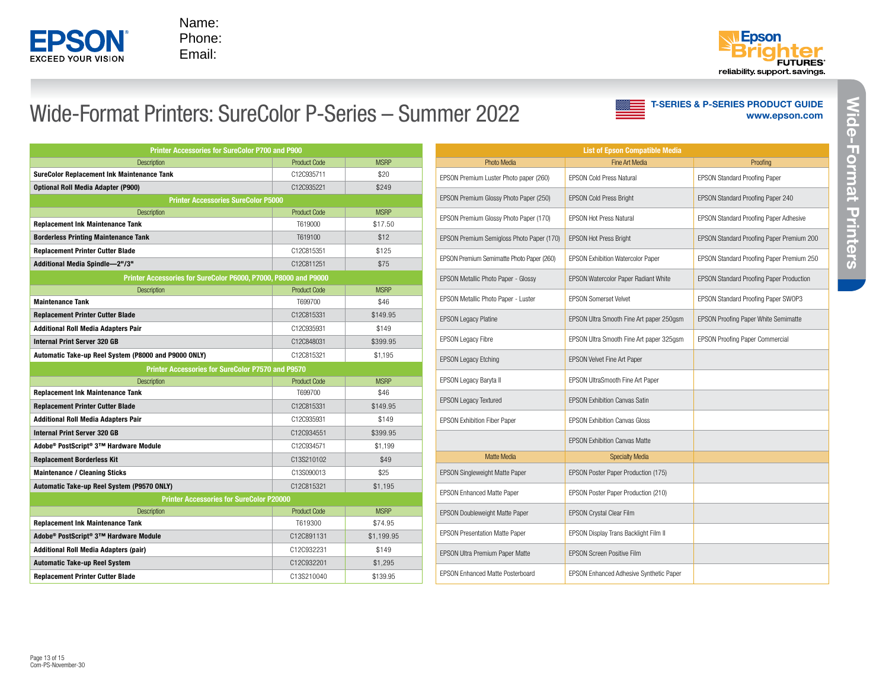



T-SERIES & P-SERIES PRODUCT GUIDE

[www.epson.com](http://www.epson.com/education)

#### Wide-Format Printers: SureColor P-Series – Summer 2022

| <b>Printer Accessories for SureColor P700 and P900</b>          |                     |             |  |  |
|-----------------------------------------------------------------|---------------------|-------------|--|--|
| <b>Description</b>                                              | <b>Product Code</b> | <b>MSRP</b> |  |  |
| <b>SureColor Replacement Ink Maintenance Tank</b>               | C12C935711          | \$20        |  |  |
| <b>Optional Roll Media Adapter (P900)</b>                       | C12C935221          | \$249       |  |  |
| <b>Printer Accessories SureColor P5000</b>                      |                     |             |  |  |
| <b>Description</b>                                              | <b>Product Code</b> | <b>MSRP</b> |  |  |
| <b>Replacement Ink Maintenance Tank</b>                         | T619000             | \$17.50     |  |  |
| <b>Borderless Printing Maintenance Tank</b>                     | T619100             | \$12        |  |  |
| <b>Replacement Printer Cutter Blade</b>                         | C12C815351          | \$125       |  |  |
| Additional Media Spindle-2"/3"                                  | C12C811251          | \$75        |  |  |
| Printer Accessories for SureColor P6000, P7000, P8000 and P9000 |                     |             |  |  |
| <b>Description</b>                                              | <b>Product Code</b> | <b>MSRP</b> |  |  |
| <b>Maintenance Tank</b>                                         | T699700             | \$46        |  |  |
| <b>Replacement Printer Cutter Blade</b>                         | C12C815331          | \$149.95    |  |  |
| <b>Additional Roll Media Adapters Pair</b>                      | C12C935931          | \$149       |  |  |
| <b>Internal Print Server 320 GB</b>                             | C12C848031          | \$399.95    |  |  |
| Automatic Take-up Reel System (P8000 and P9000 ONLY)            | C12C815321          | \$1.195     |  |  |
| Printer Accessories for SureColor P7570 and P9570               |                     |             |  |  |
| <b>Description</b>                                              | <b>Product Code</b> | <b>MSRP</b> |  |  |
| <b>Replacement Ink Maintenance Tank</b>                         | T699700             | \$46        |  |  |
| <b>Replacement Printer Cutter Blade</b>                         | C12C815331          | \$149.95    |  |  |
| <b>Additional Roll Media Adapters Pair</b>                      | C12C935931          | \$149       |  |  |
| <b>Internal Print Server 320 GB</b>                             | C12C934551          | \$399.95    |  |  |
| Adobe® PostScript® 3™ Hardware Module                           | C12C934571          | \$1,199     |  |  |
| <b>Replacement Borderless Kit</b>                               | C13S210102          | \$49        |  |  |
| <b>Maintenance / Cleaning Sticks</b>                            | C13S090013          | \$25        |  |  |
| Automatic Take-up Reel System (P9570 ONLY)                      | C12C815321          | \$1.195     |  |  |
| <b>Printer Accessories for SureColor P20000</b>                 |                     |             |  |  |
| <b>Description</b>                                              | <b>Product Code</b> | <b>MSRP</b> |  |  |
| <b>Replacement Ink Maintenance Tank</b>                         | T619300             | \$74.95     |  |  |
| Adobe® PostScript® 3™ Hardware Module                           | C12C891131          | \$1.199.95  |  |  |
| <b>Additional Roll Media Adapters (pair)</b>                    | C12C932231          | \$149       |  |  |
| <b>Automatic Take-up Reel System</b>                            | C12C932201          | \$1,295     |  |  |
| <b>Replacement Printer Cutter Blade</b>                         | C13S210040          | \$139.95    |  |  |

| <b>List of Epson Compatible Media</b>     |                                                |                                                 |  |  |  |
|-------------------------------------------|------------------------------------------------|-------------------------------------------------|--|--|--|
| <b>Photo Media</b>                        | Fine Art Media                                 | Proofing                                        |  |  |  |
| EPSON Premium Luster Photo paper (260)    | <b>EPSON Cold Press Natural</b>                | <b>EPSON Standard Proofing Paper</b>            |  |  |  |
| EPSON Premium Glossy Photo Paper (250)    | <b>EPSON Cold Press Bright</b>                 | EPSON Standard Proofing Paper 240               |  |  |  |
| EPSON Premium Glossy Photo Paper (170)    | <b>EPSON Hot Press Natural</b>                 | EPSON Standard Proofing Paper Adhesive          |  |  |  |
| EPSON Premium Semigloss Photo Paper (170) | <b>EPSON Hot Press Bright</b>                  | EPSON Standard Proofing Paper Premium 200       |  |  |  |
| EPSON Premium Semimatte Photo Paper (260) | <b>EPSON Exhibition Watercolor Paper</b>       | EPSON Standard Proofing Paper Premium 250       |  |  |  |
| EPSON Metallic Photo Paper - Glossy       | EPSON Watercolor Paper Radiant White           | <b>EPSON Standard Proofing Paper Production</b> |  |  |  |
| EPSON Metallic Photo Paper - Luster       | <b>FPSON Somerset Velvet</b>                   | EPSON Standard Proofing Paper SWOP3             |  |  |  |
| <b>EPSON Legacy Platine</b>               | EPSON Ultra Smooth Fine Art paper 250gsm       | <b>EPSON Proofing Paper White Semimatte</b>     |  |  |  |
| <b>EPSON Legacy Fibre</b>                 | EPSON Ultra Smooth Fine Art paper 325qsm       | EPSON Proofing Paper Commercial                 |  |  |  |
| <b>EPSON Legacy Etching</b>               | EPSON Velvet Fine Art Paper                    |                                                 |  |  |  |
| <b>EPSON Legacy Baryta II</b>             | EPSON UltraSmooth Fine Art Paper               |                                                 |  |  |  |
| <b>EPSON Legacy Textured</b>              | <b>EPSON Exhibition Canvas Satin</b>           |                                                 |  |  |  |
| <b>EPSON Exhibition Fiber Paper</b>       | <b>FPSON Exhibition Canvas Gloss</b>           |                                                 |  |  |  |
|                                           | <b>EPSON Exhibition Canvas Matte</b>           |                                                 |  |  |  |
| Matte Media                               | <b>Specialty Media</b>                         |                                                 |  |  |  |
| EPSON Singleweight Matte Paper            | EPSON Poster Paper Production (175)            |                                                 |  |  |  |
| <b>EPSON Enhanced Matte Paper</b>         | EPSON Poster Paper Production (210)            |                                                 |  |  |  |
| EPSON Doubleweight Matte Paper            | <b>EPSON Crystal Clear Film</b>                |                                                 |  |  |  |
| <b>EPSON Presentation Matte Paper</b>     | EPSON Display Trans Backlight Film II          |                                                 |  |  |  |
| <b>EPSON Ultra Premium Paper Matte</b>    | <b>FPSON Screen Positive Film</b>              |                                                 |  |  |  |
| <b>EPSON Enhanced Matte Posterboard</b>   | <b>EPSON Enhanced Adhesive Synthetic Paper</b> |                                                 |  |  |  |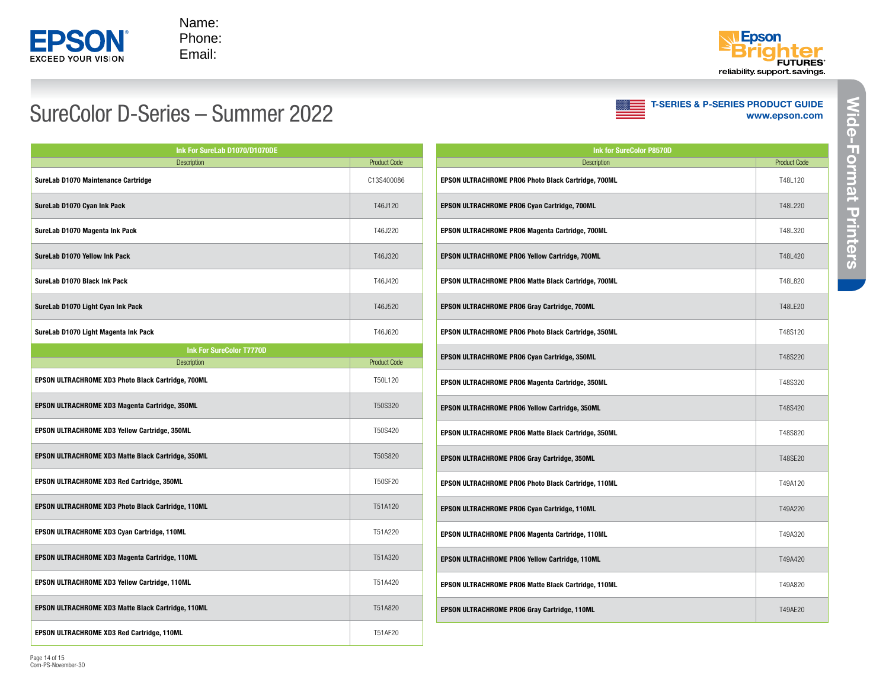



# SureColor D-Series – Summer 2022



| Ink For SureLab D1070/D1070DE                      |                     |  |  |
|----------------------------------------------------|---------------------|--|--|
| <b>Description</b>                                 | <b>Product Code</b> |  |  |
| SureLab D1070 Maintenance Cartridge                | C13S400086          |  |  |
| SureLab D1070 Cyan Ink Pack                        | T46J120             |  |  |
| SureLab D1070 Magenta Ink Pack                     | T46J220             |  |  |
| SureLab D1070 Yellow Ink Pack                      | T46J320             |  |  |
| SureLab D1070 Black Ink Pack                       | T46J420             |  |  |
| SureLab D1070 Light Cyan Ink Pack                  | T46J520             |  |  |
| SureLab D1070 Light Magenta Ink Pack               | T46J620             |  |  |
| <b>Ink For SureColor T7770D</b>                    |                     |  |  |
| <b>Description</b>                                 | <b>Product Code</b> |  |  |
| EPSON ULTRACHROME XD3 Photo Black Cartridge, 700ML | T50L120             |  |  |
| EPSON ULTRACHROME XD3 Magenta Cartridge, 350ML     | T50S320             |  |  |
| EPSON ULTRACHROME XD3 Yellow Cartridge, 350ML      | T50S420             |  |  |
| EPSON ULTRACHROME XD3 Matte Black Cartridge, 350ML | T50S820             |  |  |
| EPSON ULTRACHROME XD3 Red Cartridge, 350ML         | T50SF20             |  |  |
| EPSON ULTRACHROME XD3 Photo Black Cartridge, 110ML | T51A120             |  |  |
| EPSON ULTRACHROME XD3 Cyan Cartridge, 110ML        | T51A220             |  |  |
| EPSON ULTRACHROME XD3 Magenta Cartridge, 110ML     | T51A320             |  |  |
| EPSON ULTRACHROME XD3 Yellow Cartridge, 110ML      | T51A420             |  |  |
| EPSON ULTRACHROME XD3 Matte Black Cartridge, 110ML | T51A820             |  |  |
| EPSON ULTRACHROME XD3 Red Cartridge, 110ML         | T51AF20             |  |  |

| <b>Ink for SureColor P8570D</b>                            |                     |  |  |
|------------------------------------------------------------|---------------------|--|--|
| <b>Description</b>                                         | <b>Product Code</b> |  |  |
| EPSON ULTRACHROME PRO6 Photo Black Cartridge, 700ML        | T48I 120            |  |  |
| <b>EPSON ULTRACHROME PRO6 Cyan Cartridge, 700ML</b>        | T48L220             |  |  |
| <b>EPSON ULTRACHROME PRO6 Magenta Cartridge, 700ML</b>     | T48L320             |  |  |
| EPSON ULTRACHROME PRO6 Yellow Cartridge, 700ML             | T48L420             |  |  |
| EPSON ULTRACHROME PRO6 Matte Black Cartridge, 700ML        | T48L820             |  |  |
| EPSON ULTRACHROME PRO6 Gray Cartridge, 700ML               | T48I F20            |  |  |
| EPSON ULTRACHROME PRO6 Photo Black Cartridge, 350ML        | T48S120             |  |  |
| EPSON ULTRACHROME PRO6 Cyan Cartridge, 350ML               | T48S220             |  |  |
| EPSON ULTRACHROME PRO6 Magenta Cartridge, 350ML            | T48S320             |  |  |
| EPSON ULTRACHROME PRO6 Yellow Cartridge, 350ML             | T48S420             |  |  |
| <b>EPSON ULTRACHROME PRO6 Matte Black Cartridge, 350ML</b> | T48S820             |  |  |
| EPSON ULTRACHROME PRO6 Gray Cartridge, 350ML               | T48SE20             |  |  |
| EPSON ULTRACHROME PRO6 Photo Black Cartridge, 110ML        | T49A120             |  |  |
| EPSON ULTRACHROME PRO6 Cyan Cartridge, 110ML               | T49A220             |  |  |
| EPSON ULTRACHROME PRO6 Magenta Cartridge, 110ML            | T49A320             |  |  |
| <b>EPSON ULTRACHROME PRO6 Yellow Cartridge, 110ML</b>      | T49A420             |  |  |
| <b>EPSON ULTRACHROME PRO6 Matte Black Cartridge, 110ML</b> | T49A820             |  |  |
| <b>EPSON ULTRACHROME PRO6 Gray Cartridge, 110ML</b>        | T49AF20             |  |  |